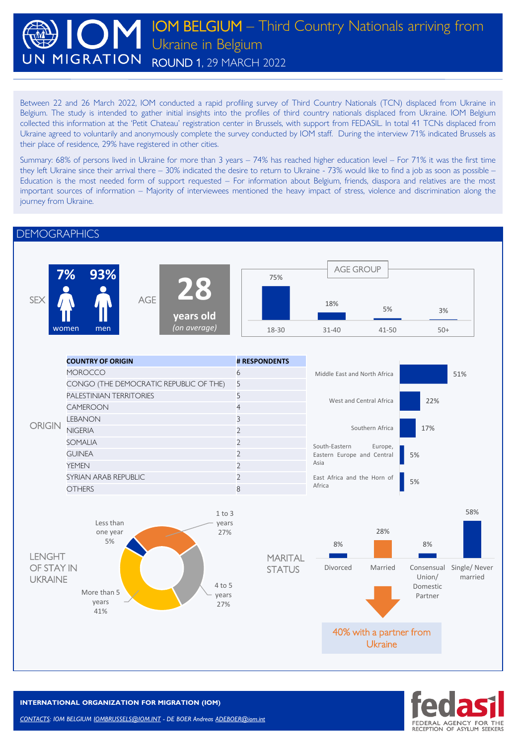### IOM BELGIUM – Third Country Nationals arriving from Ukraine in Belgium **JN MIGRATION** ROUND 1, 29 MARCH 2022

Between 22 and 26 March 2022, IOM conducted a rapid profiling survey of Third Country Nationals (TCN) displaced from Ukraine in Belgium. The study is intended to gather initial insights into the profiles of third country nationals displaced from Ukraine. IOM Belgium collected this information at the 'Petit Chateau' registration center in Brussels, with support from FEDASIL. In total 41 TCNs displaced from Ukraine agreed to voluntarily and anonymously complete the survey conducted by IOM staff. During the interview 71% indicated Brussels as their place of residence, 29% have registered in other cities.

Summary: 68% of persons lived in Ukraine for more than 3 years – 74% has reached higher education level – For 71% it was the first time they left Ukraine since their arrival there – 30% indicated the desire to return to Ukraine - 73% would like to find a job as soon as possible – Education is the most needed form of support requested – For information about Belgium, friends, diaspora and relatives are the most important sources of information – Majority of interviewees mentioned the heavy impact of stress, violence and discrimination along the journey from Ukraine.

#### **DEMOGRAPHICS**





**INTERNATIONAL ORGANIZATION FOR MIGRATION (IOM)**

*CONTACTS: IOM BELGIUM [IOMBRUSSELS@IOM.INT](mailto:IOMBRUSSELS@IOM.INT) - DE BOER Andreas [ADEBOER@iom.int](mailto:ADEBOER@iom.int)*